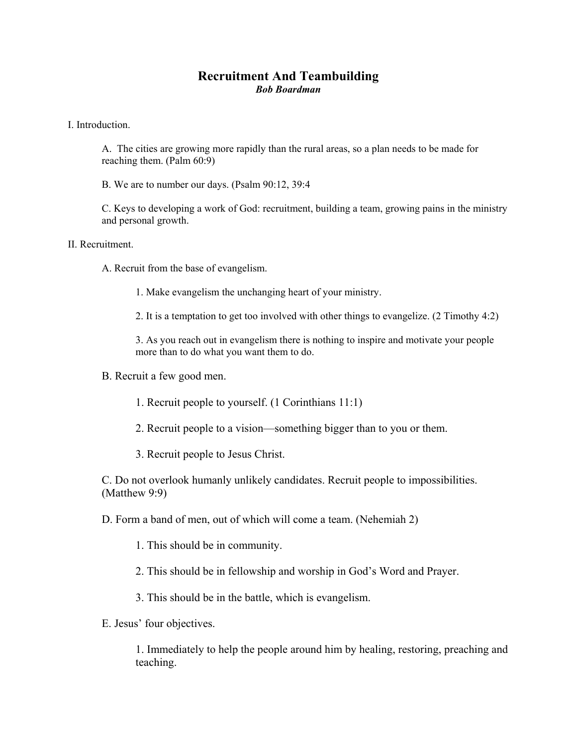## **Recruitment And Teambuilding**  *Bob Boardman*

I. Introduction.

A. The cities are growing more rapidly than the rural areas, so a plan needs to be made for reaching them. (Palm 60:9)

B. We are to number our days. (Psalm 90:12, 39:4

C. Keys to developing a work of God: recruitment, building a team, growing pains in the ministry and personal growth.

II. Recruitment.

A. Recruit from the base of evangelism.

1. Make evangelism the unchanging heart of your ministry.

2. It is a temptation to get too involved with other things to evangelize. (2 Timothy 4:2)

3. As you reach out in evangelism there is nothing to inspire and motivate your people more than to do what you want them to do.

B. Recruit a few good men.

1. Recruit people to yourself. (1 Corinthians 11:1)

2. Recruit people to a vision—something bigger than to you or them.

3. Recruit people to Jesus Christ.

C. Do not overlook humanly unlikely candidates. Recruit people to impossibilities. (Matthew 9:9)

D. Form a band of men, out of which will come a team. (Nehemiah 2)

1. This should be in community.

2. This should be in fellowship and worship in God's Word and Prayer.

3. This should be in the battle, which is evangelism.

E. Jesus' four objectives.

1. Immediately to help the people around him by healing, restoring, preaching and teaching.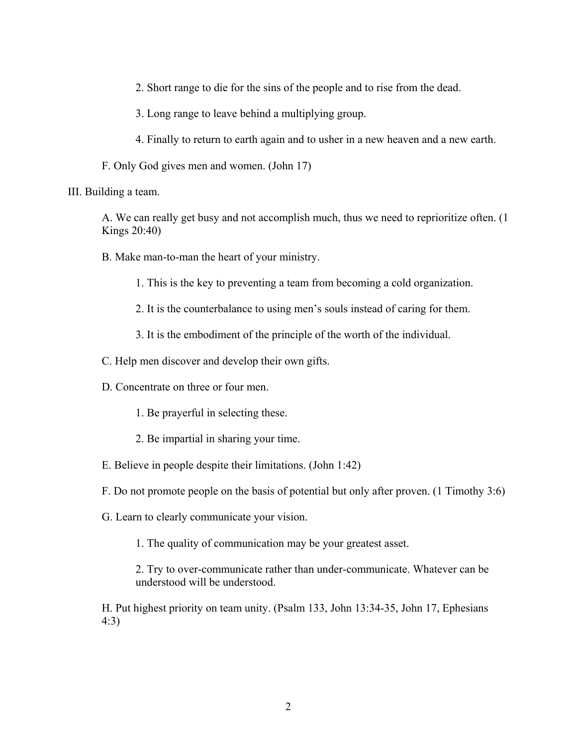2. Short range to die for the sins of the people and to rise from the dead.

3. Long range to leave behind a multiplying group.

4. Finally to return to earth again and to usher in a new heaven and a new earth.

F. Only God gives men and women. (John 17)

III. Building a team.

A. We can really get busy and not accomplish much, thus we need to reprioritize often. (1 Kings 20:40)

B. Make man-to-man the heart of your ministry.

1. This is the key to preventing a team from becoming a cold organization.

- 2. It is the counterbalance to using men's souls instead of caring for them.
- 3. It is the embodiment of the principle of the worth of the individual.

C. Help men discover and develop their own gifts.

D. Concentrate on three or four men.

- 1. Be prayerful in selecting these.
- 2. Be impartial in sharing your time.
- E. Believe in people despite their limitations. (John 1:42)
- F. Do not promote people on the basis of potential but only after proven. (1 Timothy 3:6)
- G. Learn to clearly communicate your vision.

1. The quality of communication may be your greatest asset.

2. Try to over-communicate rather than under-communicate. Whatever can be understood will be understood.

H. Put highest priority on team unity. (Psalm 133, John 13:34-35, John 17, Ephesians 4:3)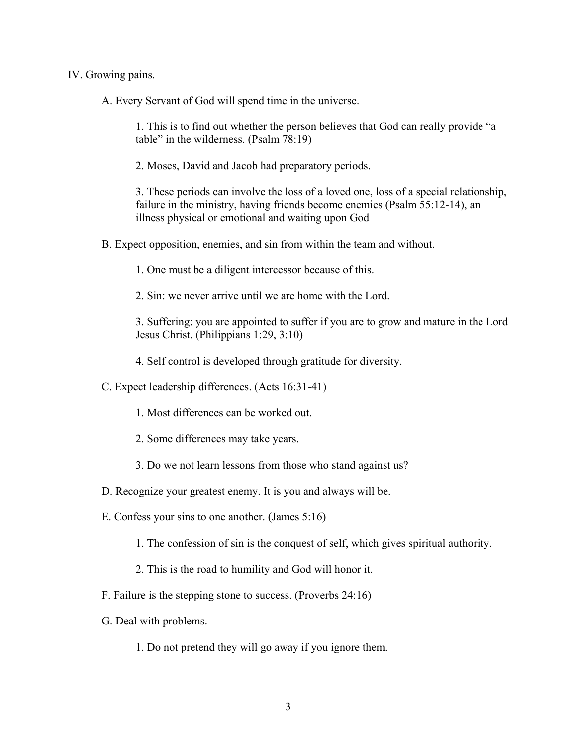## IV. Growing pains.

A. Every Servant of God will spend time in the universe.

1. This is to find out whether the person believes that God can really provide "a table" in the wilderness. (Psalm 78:19)

2. Moses, David and Jacob had preparatory periods.

3. These periods can involve the loss of a loved one, loss of a special relationship, failure in the ministry, having friends become enemies (Psalm 55:12-14), an illness physical or emotional and waiting upon God

B. Expect opposition, enemies, and sin from within the team and without.

1. One must be a diligent intercessor because of this.

2. Sin: we never arrive until we are home with the Lord.

3. Suffering: you are appointed to suffer if you are to grow and mature in the Lord Jesus Christ. (Philippians 1:29, 3:10)

4. Self control is developed through gratitude for diversity.

C. Expect leadership differences. (Acts 16:31-41)

- 1. Most differences can be worked out.
- 2. Some differences may take years.
- 3. Do we not learn lessons from those who stand against us?
- D. Recognize your greatest enemy. It is you and always will be.
- E. Confess your sins to one another. (James 5:16)
	- 1. The confession of sin is the conquest of self, which gives spiritual authority.
	- 2. This is the road to humility and God will honor it.
- F. Failure is the stepping stone to success. (Proverbs 24:16)
- G. Deal with problems.
	- 1. Do not pretend they will go away if you ignore them.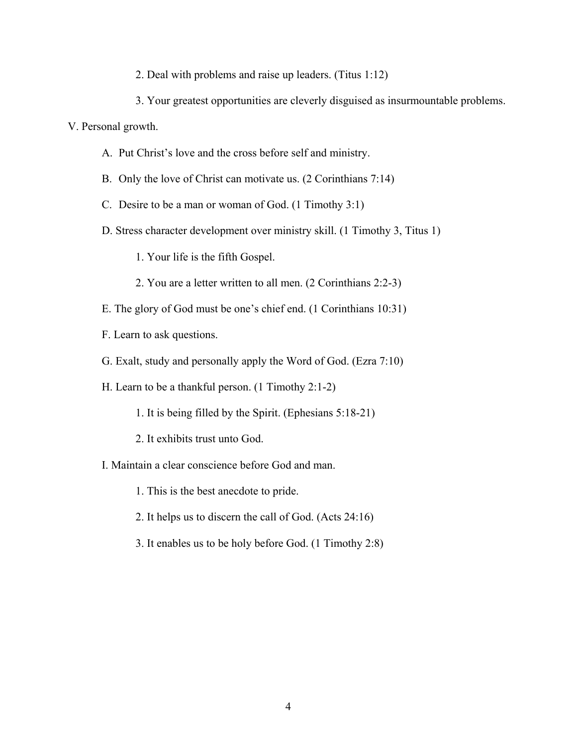- 2. Deal with problems and raise up leaders. (Titus 1:12)
- 3. Your greatest opportunities are cleverly disguised as insurmountable problems.

V. Personal growth.

- A. Put Christ's love and the cross before self and ministry.
- B. Only the love of Christ can motivate us. (2 Corinthians 7:14)
- C. Desire to be a man or woman of God. (1 Timothy 3:1)
- D. Stress character development over ministry skill. (1 Timothy 3, Titus 1)
	- 1. Your life is the fifth Gospel.
	- 2. You are a letter written to all men. (2 Corinthians 2:2-3)
- E. The glory of God must be one's chief end. (1 Corinthians 10:31)
- F. Learn to ask questions.
- G. Exalt, study and personally apply the Word of God. (Ezra 7:10)
- H. Learn to be a thankful person. (1 Timothy 2:1-2)
	- 1. It is being filled by the Spirit. (Ephesians 5:18-21)
	- 2. It exhibits trust unto God.
- I. Maintain a clear conscience before God and man.
	- 1. This is the best anecdote to pride.
	- 2. It helps us to discern the call of God. (Acts 24:16)
	- 3. It enables us to be holy before God. (1 Timothy 2:8)